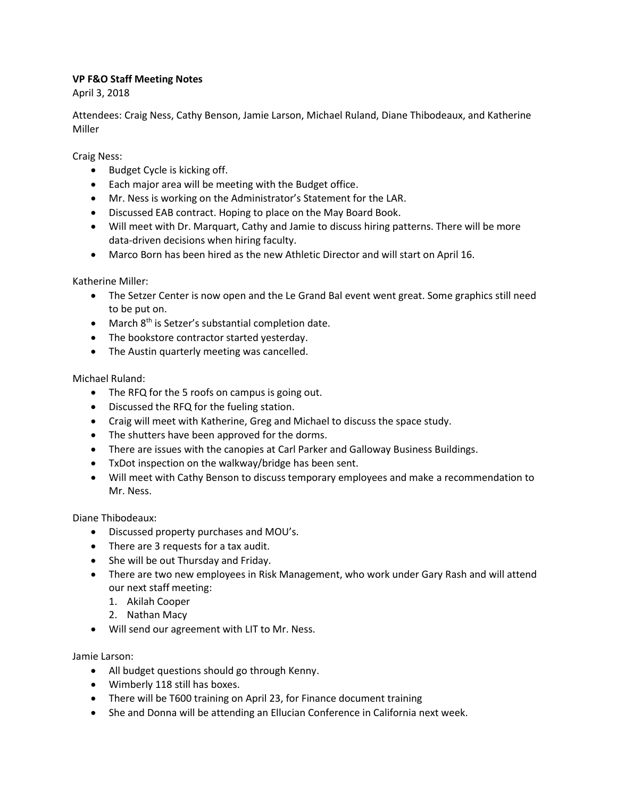## **VP F&O Staff Meeting Notes**

April 3, 2018

Attendees: Craig Ness, Cathy Benson, Jamie Larson, Michael Ruland, Diane Thibodeaux, and Katherine Miller

Craig Ness:

- Budget Cycle is kicking off.
- Each major area will be meeting with the Budget office.
- Mr. Ness is working on the Administrator's Statement for the LAR.
- Discussed EAB contract. Hoping to place on the May Board Book.
- Will meet with Dr. Marquart, Cathy and Jamie to discuss hiring patterns. There will be more data-driven decisions when hiring faculty.
- Marco Born has been hired as the new Athletic Director and will start on April 16.

Katherine Miller:

- The Setzer Center is now open and the Le Grand Bal event went great. Some graphics still need to be put on.
- $\bullet$  March  $8<sup>th</sup>$  is Setzer's substantial completion date.
- The bookstore contractor started yesterday.
- The Austin quarterly meeting was cancelled.

Michael Ruland:

- The RFQ for the 5 roofs on campus is going out.
- Discussed the RFQ for the fueling station.
- Craig will meet with Katherine, Greg and Michael to discuss the space study.
- The shutters have been approved for the dorms.
- There are issues with the canopies at Carl Parker and Galloway Business Buildings.
- TxDot inspection on the walkway/bridge has been sent.
- Will meet with Cathy Benson to discuss temporary employees and make a recommendation to Mr. Ness.

Diane Thibodeaux:

- Discussed property purchases and MOU's.
- There are 3 requests for a tax audit.
- She will be out Thursday and Friday.
- There are two new employees in Risk Management, who work under Gary Rash and will attend our next staff meeting:
	- 1. Akilah Cooper
	- 2. Nathan Macy
- Will send our agreement with LIT to Mr. Ness.

Jamie Larson:

- All budget questions should go through Kenny.
- Wimberly 118 still has boxes.
- There will be T600 training on April 23, for Finance document training
- She and Donna will be attending an Ellucian Conference in California next week.